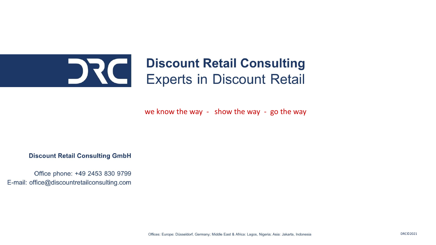### **Discount Retail Consulting** DRCI **Experts in Discount Retail**

we know the way - show the way - go the way

**Discount Retail Consulting GmbH** 

Office phone: +49 2453 830 9799 E-mail: office@discountretailconsulting.com

Offices: Europe: Düsseldorf, Germany; Middle East & Africa: Lagos, Nigeria; Asia: Jakarta, Indonesia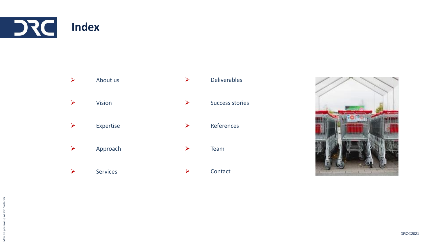



➢ Services

➢ Contact

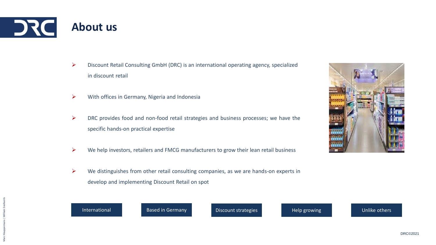

- ➢ Discount Retail Consulting GmbH (DRC) is an international operating agency, specialized in discount retail
- $\triangleright$  With offices in Germany, Nigeria and Indonesia
- $\triangleright$  DRC provides food and non-food retail strategies and business processes; we have the specific hands-on practical expertise
- $\triangleright$  We help investors, retailers and FMCG manufacturers to grow their lean retail business
- $\triangleright$  We distinguishes from other retail consulting companies, as we are hands-on experts in develop and implementing Discount Retail on spot



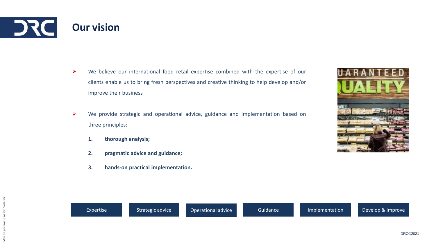- $\triangleright$  We believe our international food retail expertise combined with the expertise of our clients enable us to bring fresh perspectives and creative thinking to help develop and/or improve their business
- ➢ We provide strategic and operational advice, guidance and implementation based on three principles:
	- **1. thorough analysis;**
	- **2. pragmatic advice and guidance;**
	- **3. hands-on practical implementation.**

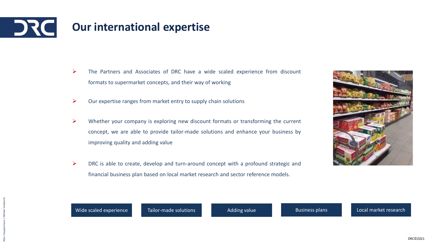

- ➢ The Partners and Associates of DRC have a wide scaled experience from discount formats to supermarket concepts, and their way of working
- $\triangleright$  Our expertise ranges from market entry to supply chain solutions
- $\triangleright$  Whether your company is exploring new discount formats or transforming the current concept, we are able to provide tailor-made solutions and enhance your business by improving quality and adding value
- ➢ DRC is able to create, develop and turn-around concept with a profound strategic and financial business plan based on local market research and sector reference models.



Wide scaled experience Tailor-made solutions Adding value Business plans Local market research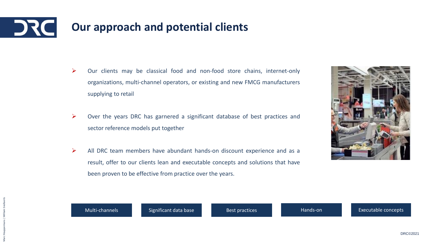# **Our approach and potential clients**

- ➢ Our clients may be classical food and non-food store chains, internet-only organizations, multi-channel operators, or existing and new FMCG manufacturers supplying to retail
- ➢ Over the years DRC has garnered a significant database of best practices and sector reference models put together
- $\triangleright$  All DRC team members have abundant hands-on discount experience and as a result, offer to our clients lean and executable concepts and solutions that have been proven to be effective from practice over the years.



Multi-channels **Significant data base** Best practices Hands-on Hands-on Executable concepts

DRC©2021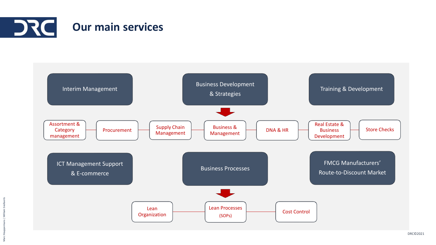

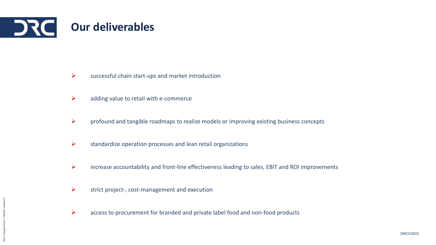

- $\triangleright$  successful chain start-ups and market introduction
- $\triangleright$  adding value to retail with e-commerce
- $\triangleright$  profound and tangible roadmaps to realize models or improving existing business concepts
- $\triangleright$  standardize operation processes and lean retail organizations
- ➢ increase accountability and front-line effectiveness leading to sales, EBIT and ROI improvements
- $\triangleright$  strict project-, cost-management and execution
- ➢ access to procurement for branded and private label food and non-food products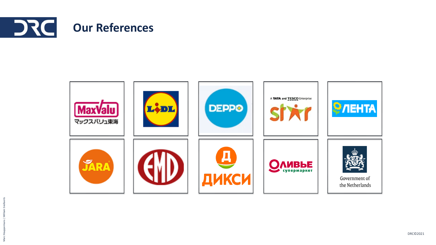

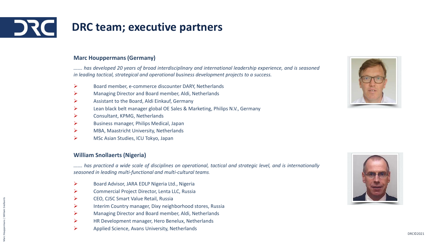# **DRC team; executive partners**

### **Marc Houppermans (Germany)**

*……. has developed 20 years of broad interdisciplinary and international leadership experience, and is seasoned in leading tactical, strategical and operational business development projects to a success.*

- ➢ Board member, e-commerce discounter DARY, Netherlands
- ➢ Managing Director and Board member, Aldi, Netherlands
- ➢ Assistant to the Board, Aldi Einkauf, Germany
- ➢ Lean black belt manager global OE Sales & Marketing, Philips N.V., Germany
- ➢ Consultant, KPMG, Netherlands
- ➢ Business manager, Philips Medical, Japan
- ➢ MBA, Maastricht University, Netherlands
- ➢ MSc Asian Studies, ICU Tokyo, Japan

#### **William Snollaerts (Nigeria)**

has practiced a wide scale of disciplines on operational, tactical and strategic level, and is internationally *seasoned in leading multi-functional and multi-cultural teams.*

- ➢ Board Advisor, JARA EDLP Nigeria Ltd., Nigeria
- ➢ Commercial Project Director, Lenta LLC, Russia
- ➢ CEO, CJSC Smart Value Retail, Russia
- ➢ Interim Country manager, Dixy neighborhood stores, Russia
- ➢ Managing Director and Board member, Aldi, Netherlands
- ➢ HR Development manager, Hero Benelux, Netherlands
- ➢ Applied Science, Avans University, Netherlands



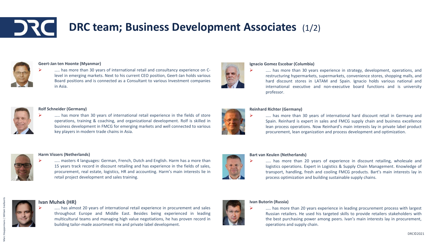## **DRC team; Business Development Associates** (1/2)



#### **Geert-Jan ten Hoonte (Myanmar)**

..... has more than 30 years of international retail and consultancy experience on Clevel in emerging markets. Next to his current CEO position, Geert-Jan holds various Board positions and is connected as a Consultant to various Investment companies in Asia.



#### **Rolf Schneider (Germany)**

..... has more than 30 years of international retail experience in the fields of store operations, training & coaching, and organizational development. Rolf is skilled in business development in FMCG for emerging markets and well connected to various key players in modern trade chains in Asia.



#### **Harm Vissers (Netherlands)**

..... masters 4 languages: German, French, Dutch and English. Harm has a more than 15 years track record in discount retailing and has experience in the fields of sales, procurement, real estate, logistics, HR and accounting. Harm's main interests lie in retail project development and sales training.





#### **Ivan Muhek (HR)**

➢ ….. has almost 20 years of international retail experience in procurement and sales throughout Europe and Middle East. Besides being experienced in leading multicultural teams and managing high value negotiations, he has proven record in building tailor-made assortment mix and private label development.



#### **Ignacio Gomez Escobar (Columbia)**

..... has more than 30 years experience in strategy, development, operations, and restructuring hypermarkets, supermarkets, convenience stores, shopping malls, and hard discount stores in LATAM and Spain. Ignacio holds various national and international executive and non-executive board functions and is university professor.

#### **Reinhard Richter (Germany)**

..... has more than 30 years of international hard discount retail in Germany and Spain. Reinhard is expert in sales and FMCG supply chain and business excellence lean process operations. Now Reinhard's main interests lay in private label product procurement, lean organization and process development and optimization.



#### **Bart van Keulen (Netherlands)**

..... has more than 20 years of experience in discount retailing, wholesale and logistics operations. Expert in Logistics & Supply Chain Management. Knowledge of transport, handling, fresh and cooling FMCG products. Bart's main interests lay in process optimization and building sustainable supply chains.

#### **Ivan Butorin (Russia)**

➢ ….. has more than 20 years experience in leading procurement process with largest Russian retailers. He used his targeted skills to provide retailers stakeholders with the best purchasing power among peers. Ivan's main interests lay in procurement, operations and supply chain.

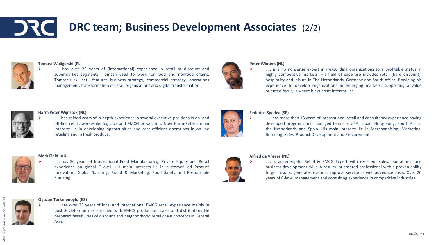## **DRC team; Business Development Associates** (2/2)



#### **Tomasz Waligorski (PL)**





#### **Peter Winters (NL)**

..... is a no nonsense expert in (re)building organizations to a profitable status in highly competitive markets. His field of expertise includes retail (hard discount), hospitality and leisure in The Netherlands, Germany and South Africa. Providing his experience to develop organizations in emerging markets, supporting a value oriented focus, is where his current interest lies.



#### **Harm Peter Wijnstok (NL)**

➢ ..... has gained years of in-depth experience in several executive positions in on- and off-line retail, wholesale, logistics and FMCG production. Now Harm-Peter's main interests lie in developing opportunities and cost efficient operations in on-line retailing and in fresh produce.

#### **Mark Field (AU)**



➢ ….. has 30 years of International Food Manufacturing, Private Equity and Retail experience on global C-level. His main interests lie in customer led Product Innovation, Global Sourcing, Brand & Marketing, Food Safety and Responsible Sourcing.



Marc Houppermans | William Snollaerts

#### **Oguzan Turkmenoglu (KZ)** ➢ ….. has over 25 years of local and international FMCG retail experience mainly in post Soviet countries enriched with FMCG production, sales and distribution. He prepared feasibilities of discount and neighborhood retail chain concepts in Central Asia.



#### **Federico Spadea (SP)**

..... has more than 18 years of international retail and consultancy experience having developed programs and managed teams in USA, Japan, Hong Kong, South Africa, the Netherlands and Spain. His main interests lie in Merchandising, Marketing, Branding, Sales, Product Development and Procurement.

#### **Alfred de Vreeze (NL)**

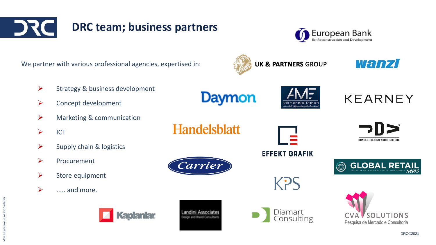



| We partner with various professional agencies, expertised in: |                                 |                                                | <b>UK &amp; PARTNERS GROUP</b> | Wanzi                                          |
|---------------------------------------------------------------|---------------------------------|------------------------------------------------|--------------------------------|------------------------------------------------|
| $\blacktriangleright$                                         | Strategy & business development |                                                |                                |                                                |
| $\blacktriangleright$                                         | Concept development             | Daymon                                         | بكانيك بونزالعا                | <b>KEARNEY</b>                                 |
| $\blacktriangleright$                                         | Marketing & communication       |                                                |                                |                                                |
| $\blacktriangleright$                                         | <b>ICT</b>                      | <b>Handelsblatt</b>                            |                                | DD>                                            |
| $\blacktriangleright$                                         | Supply chain & logistics        |                                                | <b>EFFEKT GRAFIK</b>           | <b>CONCEPT-DESIGN-ARCHITECTURE</b>             |
| $\blacktriangleright$                                         | Procurement                     | Carrier                                        |                                | <b>GLOBAL RET</b><br>$\circledcirc$            |
| $\blacktriangleright$                                         | Store equipment                 |                                                |                                |                                                |
| $\blacktriangleright$                                         | and more.                       |                                                | KPS                            |                                                |
|                                                               | <b>Kaplanlar</b>                | andini Associates<br>sion and Brand Consultant | Diamart<br>Consulting          | SOLUTIONS<br>Pesquisa de Mercado e Consultoria |

Marc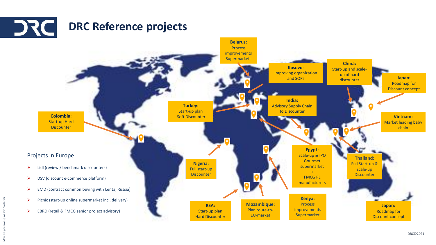